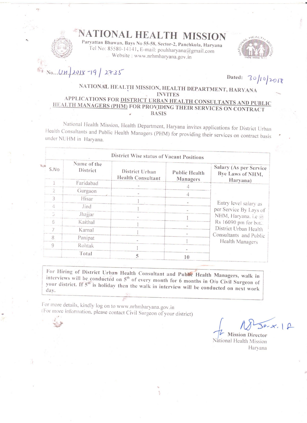# NATIONAL HEALTH MISSION

Paryattan Bhawan, Bays No 55-58, Sector-2, Panchkula, Haryana Tel No: 85580-14141, E-mail: pouhharyana@gmail.com Website: www.nrhmharyana.gov.in



 $N_0...U.M. 2018-19/2735$ 

Dated:  $30/10/2018$ 

### NATIONAL HEALTH MISSION, HEALTH DEPARTMENT, HARYANA **INVITES** APPLICATIONS FOR DISTRICT URBAN HEALTH CONSULTANTS AND PUBLIC

### HEALTH MANAGERS (PHM) FOR PROVIDING THEIR SERVICES ON CONTRACT **BASIS**

National Health Mission, Health Department, Haryana invites applications for District Urban Health Consultants and Public Health Managers (PHM) for providing their services on contract basis under NUHM in Haryana.

|       | District Wise status of Vacant Positions |                                            |                                         |                                                                                                                                                                      |
|-------|------------------------------------------|--------------------------------------------|-----------------------------------------|----------------------------------------------------------------------------------------------------------------------------------------------------------------------|
| S, No | Name of the<br>District                  | District Urban<br><b>Health Consultant</b> | <b>Public Health</b><br><b>Managers</b> | Salary (As per Service<br>Bye Laws of NHM,<br>Haryana)                                                                                                               |
|       | Faridabad                                |                                            |                                         | Entry level salary as<br>per Service By Lays of<br>NHM, Haryana. i.e @<br>Rs 16090 pm for bot.<br>District Urban Health<br>Consultants and Public<br>Health Managers |
| 2     | Gurgaon                                  |                                            |                                         |                                                                                                                                                                      |
| ζ     | Hisar                                    |                                            |                                         |                                                                                                                                                                      |
| 4     | Jind                                     |                                            |                                         |                                                                                                                                                                      |
|       | Jhajjar                                  |                                            |                                         |                                                                                                                                                                      |
| 6     | Kaithal                                  |                                            |                                         |                                                                                                                                                                      |
|       | Karnal                                   |                                            |                                         |                                                                                                                                                                      |
| 8     | Panipat                                  |                                            |                                         |                                                                                                                                                                      |
| 9     | Rohtak                                   |                                            |                                         |                                                                                                                                                                      |
|       |                                          |                                            |                                         |                                                                                                                                                                      |
|       | Total                                    | ↖                                          | 10                                      |                                                                                                                                                                      |

For Hiring of District Urban Health Consultant and Public Health Managers, walk in interviews will be conducted on 5<sup>th</sup> of every month for 6 months in O/o Civil Surgeon of your district. If 5<sup>th</sup> is holiday then the walk in interview will be conducted on next work day.

For more details, kindly log on to www.nrhmharyana.gov.in (For more information, please contact Civil Surgeon of your district)

**Mission Director** Vational Health Mission Haryana